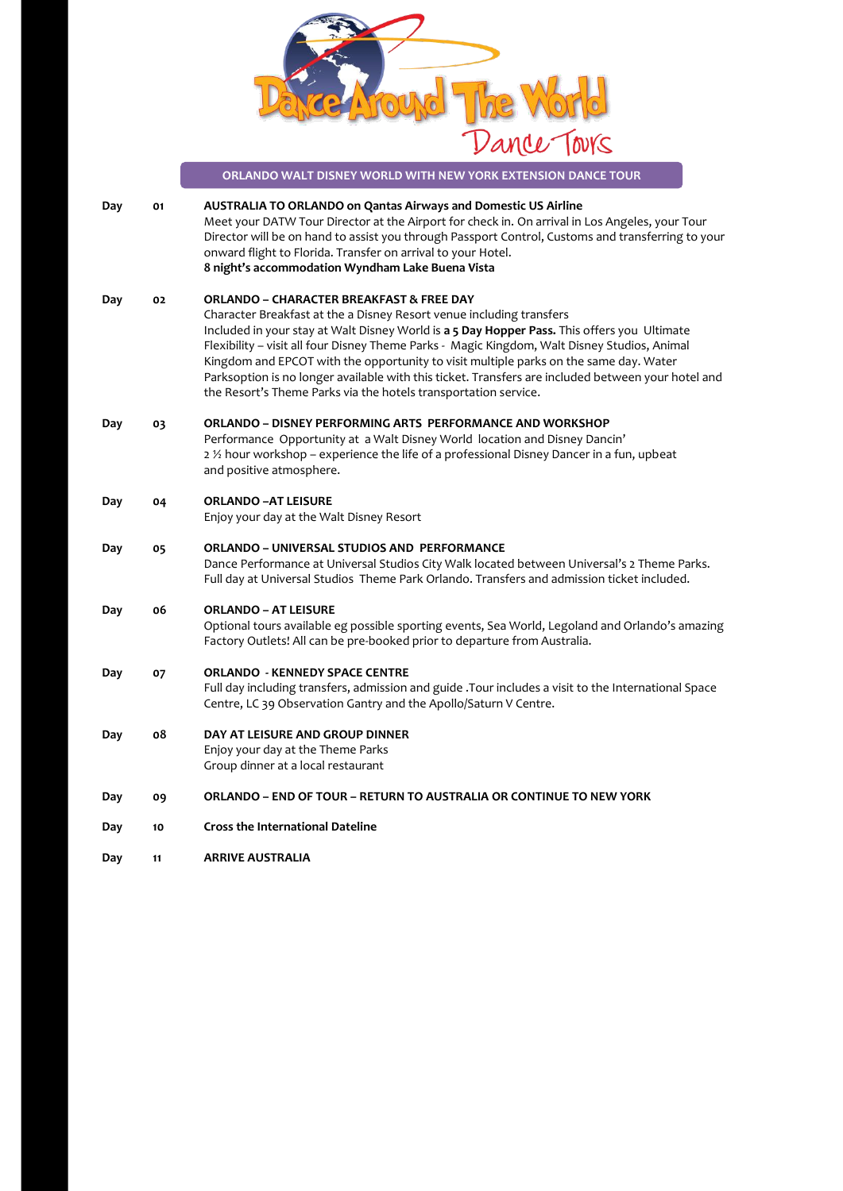

|     |    | ORLANDO WALT DISNEY WORLD WITH NEW YORK EXTENSION DANCE TOUR                                                                                                                                                                                                                                                                                                                                                                                                                                                                                                                                 |
|-----|----|----------------------------------------------------------------------------------------------------------------------------------------------------------------------------------------------------------------------------------------------------------------------------------------------------------------------------------------------------------------------------------------------------------------------------------------------------------------------------------------------------------------------------------------------------------------------------------------------|
| Day | 01 | AUSTRALIA TO ORLANDO on Qantas Airways and Domestic US Airline<br>Meet your DATW Tour Director at the Airport for check in. On arrival in Los Angeles, your Tour<br>Director will be on hand to assist you through Passport Control, Customs and transferring to your<br>onward flight to Florida. Transfer on arrival to your Hotel.<br>8 night's accommodation Wyndham Lake Buena Vista                                                                                                                                                                                                    |
| Day | 02 | <b>ORLANDO - CHARACTER BREAKFAST &amp; FREE DAY</b><br>Character Breakfast at the a Disney Resort venue including transfers<br>Included in your stay at Walt Disney World is a 5 Day Hopper Pass. This offers you Ultimate<br>Flexibility - visit all four Disney Theme Parks - Magic Kingdom, Walt Disney Studios, Animal<br>Kingdom and EPCOT with the opportunity to visit multiple parks on the same day. Water<br>Parksoption is no longer available with this ticket. Transfers are included between your hotel and<br>the Resort's Theme Parks via the hotels transportation service. |
| Day | 03 | <b>ORLANDO – DISNEY PERFORMING ARTS PERFORMANCE AND WORKSHOP</b><br>Performance Opportunity at a Walt Disney World location and Disney Dancin'<br>2 % hour workshop - experience the life of a professional Disney Dancer in a fun, upbeat<br>and positive atmosphere.                                                                                                                                                                                                                                                                                                                       |
| Day | 04 | <b>ORLANDO - AT LEISURE</b><br>Enjoy your day at the Walt Disney Resort                                                                                                                                                                                                                                                                                                                                                                                                                                                                                                                      |
| Day | 05 | ORLANDO - UNIVERSAL STUDIOS AND PERFORMANCE<br>Dance Performance at Universal Studios City Walk located between Universal's 2 Theme Parks.<br>Full day at Universal Studios Theme Park Orlando. Transfers and admission ticket included.                                                                                                                                                                                                                                                                                                                                                     |
| Day | 06 | <b>ORLANDO - AT LEISURE</b><br>Optional tours available eg possible sporting events, Sea World, Legoland and Orlando's amazing<br>Factory Outlets! All can be pre-booked prior to departure from Australia.                                                                                                                                                                                                                                                                                                                                                                                  |
| Day | 07 | <b>ORLANDO - KENNEDY SPACE CENTRE</b><br>Full day including transfers, admission and guide .Tour includes a visit to the International Space<br>Centre, LC 39 Observation Gantry and the Apollo/Saturn V Centre.                                                                                                                                                                                                                                                                                                                                                                             |
| Day | ο8 | DAY AT LEISURE AND GROUP DINNER<br>Enjoy your day at the Theme Parks<br>Group dinner at a local restaurant                                                                                                                                                                                                                                                                                                                                                                                                                                                                                   |
| Day | 09 | ORLANDO – END OF TOUR – RETURN TO AUSTRALIA OR CONTINUE TO NEW YORK                                                                                                                                                                                                                                                                                                                                                                                                                                                                                                                          |
| Day | 10 | <b>Cross the International Dateline</b>                                                                                                                                                                                                                                                                                                                                                                                                                                                                                                                                                      |

**Day 11 ARRIVE AUSTRALIA**